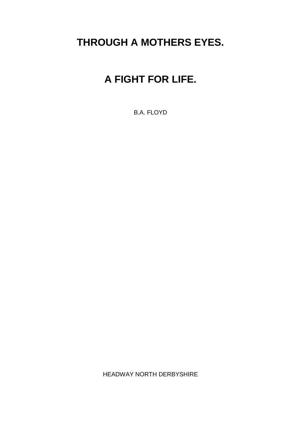## **THROUGH A MOTHERS EYES.**

## **A FIGHT FOR LIFE.**

B.A. FLOYD

HEADWAY NORTH DERBYSHIRE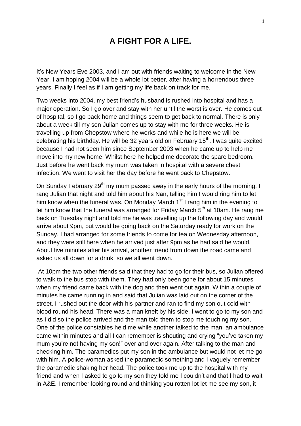## **A FIGHT FOR A LIFE.**

It's New Years Eve 2003, and I am out with friends waiting to welcome in the New Year. I am hoping 2004 will be a whole lot better, after having a horrendous three years. Finally I feel as if I am getting my life back on track for me.

Two weeks into 2004, my best friend's husband is rushed into hospital and has a major operation. So I go over and stay with her until the worst is over. He comes out of hospital, so I go back home and things seem to get back to normal. There is only about a week till my son Julian comes up to stay with me for three weeks. He is travelling up from Chepstow where he works and while he is here we will be celebrating his birthday. He will be 32 years old on February 15<sup>th</sup>. I was quite excited because I had not seen him since September 2003 when he came up to help me move into my new home. Whilst here he helped me decorate the spare bedroom. Just before he went back my mum was taken in hospital with a severe chest infection. We went to visit her the day before he went back to Chepstow.

On Sunday February 29<sup>th</sup> my mum passed away in the early hours of the morning. I rang Julian that night and told him about his Nan, telling him I would ring him to let him know when the funeral was. On Monday March  $1<sup>st</sup>$  I rang him in the evening to let him know that the funeral was arranged for Friday March  $5<sup>th</sup>$  at 10am. He rang me back on Tuesday night and told me he was travelling up the following day and would arrive about 9pm, but would be going back on the Saturday ready for work on the Sunday. I had arranged for some friends to come for tea on Wednesday afternoon, and they were still here when he arrived just after 9pm as he had said he would. About five minutes after his arrival, another friend from down the road came and asked us all down for a drink, so we all went down.

At 10pm the two other friends said that they had to go for their bus, so Julian offered to walk to the bus stop with them. They had only been gone for about 15 minutes when my friend came back with the dog and then went out again. Within a couple of minutes he came running in and said that Julian was laid out on the corner of the street. I rushed out the door with his partner and ran to find my son out cold with blood round his head. There was a man knelt by his side. I went to go to my son and as I did so the police arrived and the man told them to stop me touching my son. One of the police constables held me while another talked to the man, an ambulance came within minutes and all I can remember is shouting and crying "you've taken my mum you're not having my son!" over and over again. After talking to the man and checking him. The paramedics put my son in the ambulance but would not let me go with him. A police-woman asked the paramedic something and I vaguely remember the paramedic shaking her head. The police took me up to the hospital with my friend and when I asked to go to my son they told me I couldn't and that I had to wait in A&E. I remember looking round and thinking you rotten lot let me see my son, it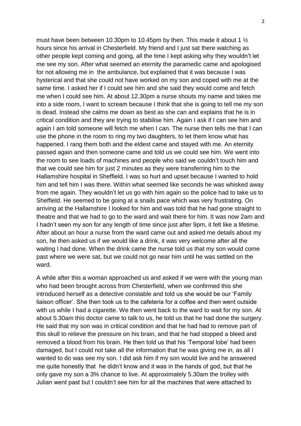must have been between 10.30pm to 10.45pm by then. This made it about 1 ½ hours since his arrival in Chesterfield. My friend and I just sat there watching as other people kept coming and going, all the time I kept asking why they wouldn't let me see my son. After what seemed an eternity the paramedic came and apologised for not allowing me in the ambulance, but explained that it was because I was hysterical and that she could not have worked on my son and coped with me at the same time. I asked her if I could see him and she said they would come and fetch me when I could see him. At about 12.30pm a nurse shouts my name and takes me into a side room, I want to scream because I think that she is going to tell me my son is dead. Instead she calms me down as best as she can and explains that he is in critical condition and they are trying to stabilise him. Again I ask if I can see him and again I am told someone will fetch me when I can. The nurse then tells me that I can use the phone in the room to ring my two daughters, to let them know what has happened. I rang them both and the eldest came and stayed with me. An eternity passed again and then someone came and told us we could see him. We went into the room to see loads of machines and people who said we couldn't touch him and that we could see him for just 2 minutes as they were transferring him to the Hallamshire hospital in Sheffield. I was so hurt and upset because I wanted to hold him and tell him I was there. Within what seemed like seconds he was whisked away from me again. They wouldn't let us go with him again so the police had to take us to Sheffield. He seemed to be going at a snails pace which was very frustrating. On arriving at the Hallamshire I looked for him and was told that he had gone straight to theatre and that we had to go to the ward and wait there for him. It was now 2am and I hadn't seen my son for any length of time since just after 9pm, it felt like a lifetime. After about an hour a nurse from the ward came out and asked me details about my son, he then asked us if we would like a drink, it was very welcome after all the waiting I had done. When the drink came the nurse told us that my son would come past where we were sat, but we could not go near him until he was settled on the ward.

A while after this a woman approached us and asked if we were with the young man who had been brought across from Chesterfield, when we confirmed this she introduced herself as a detective constable and told us she would be our 'Family liaison officer'. She then took us to the cafeteria for a coffee and then went outside with us while I had a cigarette. We then went back to the ward to wait for my son. At about 5.30am this doctor came to talk to us, he told us that he had done the surgery. He said that my son was in critical condition and that he had had to remove part of this skull to relieve the pressure on his brain, and that he had stopped a bleed and removed a blood from his brain. He then told us that his 'Temporal lobe' had been damaged, but I could not take all the information that he was giving me in, as all I wanted to do was see my son. I did ask him if my son would live and he answered me quite honestly that he didn't know and it was in the hands of god, but that he only gave my son a 3% chance to live. At approximately 5.30am the trolley with Julian went past but I couldn't see him for all the machines that were attached to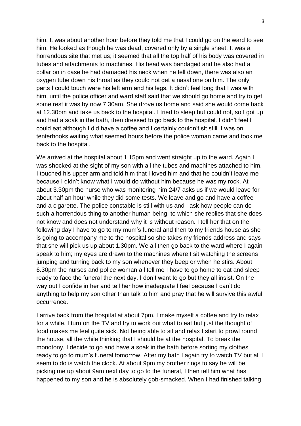him. It was about another hour before they told me that I could go on the ward to see him. He looked as though he was dead, covered only by a single sheet. It was a horrendous site that met us; it seemed that all the top half of his body was covered in tubes and attachments to machines. His head was bandaged and he also had a collar on in case he had damaged his neck when he fell down, there was also an oxygen tube down his throat as they could not get a nasal one on him. The only parts I could touch were his left arm and his legs. It didn't feel long that I was with him, until the police officer and ward staff said that we should go home and try to get some rest it was by now 7.30am. She drove us home and said she would come back at 12.30pm and take us back to the hospital. I tried to sleep but could not, so I got up and had a soak in the bath, then dressed to go back to the hospital. I didn't feel I could eat although I did have a coffee and I certainly couldn't sit still. I was on tenterhooks waiting what seemed hours before the police woman came and took me back to the hospital.

We arrived at the hospital about 1.15pm and went straight up to the ward. Again I was shocked at the sight of my son with all the tubes and machines attached to him. I touched his upper arm and told him that I loved him and that he couldn't leave me because I didn't know what I would do without him because he was my rock. At about 3.30pm the nurse who was monitoring him 24/7 asks us if we would leave for about half an hour while they did some tests. We leave and go and have a coffee and a cigarette. The police constable is still with us and I ask how people can do such a horrendous thing to another human being, to which she replies that she does not know and does not understand why it is without reason. I tell her that on the following day I have to go to my mum's funeral and then to my friends house as she is going to accompany me to the hospital so she takes my friends address and says that she will pick us up about 1.30pm. We all then go back to the ward where I again speak to him; my eyes are drawn to the machines where I sit watching the screens jumping and turning back to my son whenever they beep or when he stirs. About 6.30pm the nurses and police woman all tell me I have to go home to eat and sleep ready to face the funeral the next day, I don't want to go but they all insist. On the way out I confide in her and tell her how inadequate I feel because I can't do anything to help my son other than talk to him and pray that he will survive this awful occurrence.

I arrive back from the hospital at about 7pm, I make myself a coffee and try to relax for a while, I turn on the TV and try to work out what to eat but just the thought of food makes me feel quite sick. Not being able to sit and relax I start to prowl round the house, all the while thinking that I should be at the hospital. To break the monotony, I decide to go and have a soak in the bath before sorting my clothes ready to go to mum's funeral tomorrow. After my bath I again try to watch TV but all I seem to do is watch the clock. At about 9pm my brother rings to say he will be picking me up about 9am next day to go to the funeral, I then tell him what has happened to my son and he is absolutely gob-smacked. When I had finished talking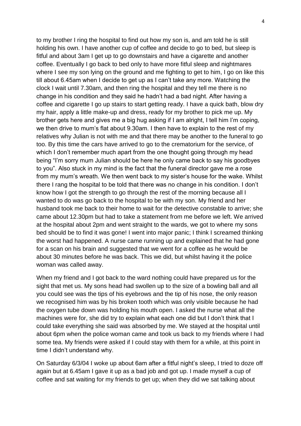to my brother I ring the hospital to find out how my son is, and am told he is still holding his own. I have another cup of coffee and decide to go to bed, but sleep is fitful and about 3am I get up to go downstairs and have a cigarette and another coffee. Eventually I go back to bed only to have more fitful sleep and nightmares where I see my son lying on the ground and me fighting to get to him, I go on like this till about 6.45am when I decide to get up as I can't take any more. Watching the clock I wait until 7.30am, and then ring the hospital and they tell me there is no change in his condition and they said he hadn't had a bad night. After having a coffee and cigarette I go up stairs to start getting ready. I have a quick bath, blow dry my hair, apply a little make-up and dress, ready for my brother to pick me up. My brother gets here and gives me a big hug asking if I am alright, I tell him I'm coping, we then drive to mum's flat about 9.30am. I then have to explain to the rest of my relatives why Julian is not with me and that there may be another to the funeral to go too. By this time the cars have arrived to go to the crematorium for the service, of which I don't remember much apart from the one thought going through my head being "I'm sorry mum Julian should be here he only came back to say his goodbyes to you". Also stuck in my mind is the fact that the funeral director gave me a rose from my mum's wreath. We then went back to my sister's house for the wake. Whilst there I rang the hospital to be told that there was no change in his condition. I don't know how I got the strength to go through the rest of the morning because all I wanted to do was go back to the hospital to be with my son. My friend and her husband took me back to their home to wait for the detective constable to arrive; she came about 12.30pm but had to take a statement from me before we left. We arrived at the hospital about 2pm and went straight to the wards, we got to where my sons bed should be to find it was gone! I went into major panic; I think I screamed thinking the worst had happened. A nurse came running up and explained that he had gone for a scan on his brain and suggested that we went for a coffee as he would be about 30 minutes before he was back. This we did, but whilst having it the police woman was called away.

When my friend and I got back to the ward nothing could have prepared us for the sight that met us. My sons head had swollen up to the size of a bowling ball and all you could see was the tips of his eyebrows and the tip of his nose, the only reason we recognised him was by his broken tooth which was only visible because he had the oxygen tube down was holding his mouth open. I asked the nurse what all the machines were for, she did try to explain what each one did but I don't think that I could take everything she said was absorbed by me. We stayed at the hospital until about 6pm when the police woman came and took us back to my friends where I had some tea. My friends were asked if I could stay with them for a while, at this point in time I didn't understand why.

On Saturday 6/3/04 I woke up about 6am after a fitful night's sleep, I tried to doze off again but at 6.45am I gave it up as a bad job and got up. I made myself a cup of coffee and sat waiting for my friends to get up; when they did we sat talking about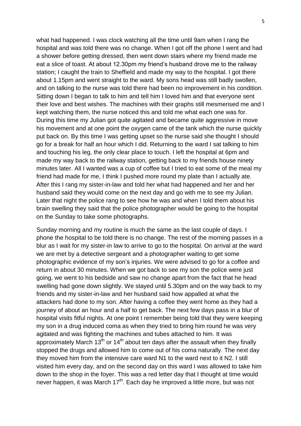what had happened. I was clock watching all the time until 9am when I rang the hospital and was told there was no change. When I got off the phone I went and had a shower before getting dressed, then went down stairs where my friend made me eat a slice of toast. At about 12.30pm my friend's husband drove me to the railway station; I caught the train to Sheffield and made my way to the hospital. I got there about 1.15pm and went straight to the ward. My sons head was still badly swollen, and on talking to the nurse was told there had been no improvement in his condition. Sitting down I began to talk to him and tell him I loved him and that everyone sent their love and best wishes. The machines with their graphs still mesmerised me and I kept watching them, the nurse noticed this and told me what each one was for. During this time my Julian got quite agitated and became quite aggressive in move his movement and at one point the oxygen came of the tank which the nurse quickly put back on. By this time I was getting upset so the nurse said she thought I should go for a break for half an hour which I did. Returning to the ward I sat talking to him and touching his leg, the only clear place to touch. I left the hospital at 6pm and made my way back to the railway station, getting back to my friends house ninety minutes later. All I wanted was a cup of coffee but I tried to eat some of the meal my friend had made for me, I think I pushed more round my plate than I actually ate. After this I rang my sister-in-law and told her what had happened and her and her husband said they would come on the next day and go with me to see my Julian. Later that night the police rang to see how he was and when I told them about his brain swelling they said that the police photographer would be going to the hospital on the Sunday to take some photographs.

Sunday morning and my routine is much the same as the last couple of days. I phone the hospital to be told there is no change. The rest of the morning passes in a blur as I wait for my sister-in law to arrive to go to the hospital. On arrival at the ward we are met by a detective sergeant and a photographer waiting to get some photographic evidence of my son's injuries. We were advised to go for a coffee and return in about 30 minutes. When we got back to see my son the police were just going, we went to his bedside and saw no change apart from the fact that he head swelling had gone down slightly. We stayed until 5.30pm and on the way back to my friends and my sister-in-law and her husband said how appalled at what the attackers had done to my son. After having a coffee they went home as they had a journey of about an hour and a half to get back. The next few days pass in a blur of hospital visits fitful nights. At one point I remember being told that they were keeping my son in a drug induced coma as when they tried to bring him round he was very agitated and was fighting the machines and tubes attached to him. It was approximately March 13<sup>th</sup> or 14<sup>th</sup> about ten days after the assault when they finally stopped the drugs and allowed him to come out of his coma naturally. The next day they moved him from the intensive care ward N1 to the ward next to it N2. I still visited him every day, and on the second day on this ward I was allowed to take him down to the shop in the foyer. This was a red letter day that I thought at time would never happen, it was March  $17<sup>th</sup>$ . Each day he improved a little more, but was not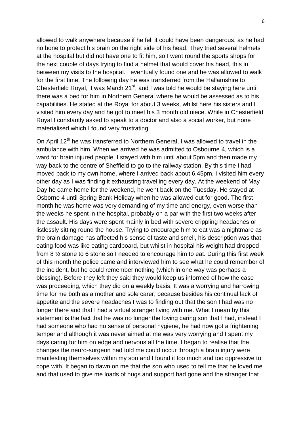allowed to walk anywhere because if he fell it could have been dangerous, as he had no bone to protect his brain on the right side of his head. They tried several helmets at the hospital but did not have one to fit him, so I went round the sports shops for the next couple of days trying to find a helmet that would cover his head, this in between my visits to the hospital. I eventually found one and he was allowed to walk for the first time. The following day he was transferred from the Hallamshire to Chesterfield Royal, it was March  $21<sup>st</sup>$ , and I was told he would be staying here until there was a bed for him in Northern General where he would be assessed as to his capabilities. He stated at the Royal for about 3 weeks, whilst here his sisters and I visited him every day and he got to meet his 3 month old niece. While in Chesterfield Royal I constantly asked to speak to a doctor and also a social worker, but none materialised which I found very frustrating.

On April 12<sup>th</sup> he was transferred to Northern General, I was allowed to travel in the ambulance with him. When we arrived he was admitted to Osbourne 4, which is a ward for brain injured people. I stayed with him until about 5pm and then made my way back to the centre of Sheffield to go to the railway station. By this time I had moved back to my own home, where I arrived back about 6.45pm. I visited him every other day as I was finding it exhausting travelling every day. At the weekend of May Day he came home for the weekend, he went back on the Tuesday. He stayed at Osborne 4 until Spring Bank Holiday when he was allowed out for good. The first month he was home was very demanding of my time and energy, even worse than the weeks he spent in the hospital, probably on a par with the first two weeks after the assault. His days were spent mainly in bed with severe crippling headaches or listlessly sitting round the house. Trying to encourage him to eat was a nightmare as the brain damage has affected his sense of taste and smell, his description was that eating food was like eating cardboard, but whilst in hospital his weight had dropped from 8 ½ stone to 6 stone so I needed to encourage him to eat. During this first week of this month the police came and interviewed him to see what he could remember of the incident, but he could remember nothing (which in one way was perhaps a blessing). Before they left they said they would keep us informed of how the case was proceeding, which they did on a weekly basis. It was a worrying and harrowing time for me both as a mother and sole carer, because besides his continual lack of appetite and the severe headaches I was to finding out that the son I had was no longer there and that I had a virtual stranger living with me. What I mean by this statement is the fact that he was no longer the loving caring son that I had, instead I had someone who had no sense of personal hygiene, he had now got a frightening temper and although it was never aimed at me was very worrying and I spent my days caring for him on edge and nervous all the time. I began to realise that the changes the neuro-surgeon had told me could occur through a brain injury were manifesting themselves within my son and I found it too much and too oppressive to cope with. It began to dawn on me that the son who used to tell me that he loved me and that used to give me loads of hugs and support had gone and the stranger that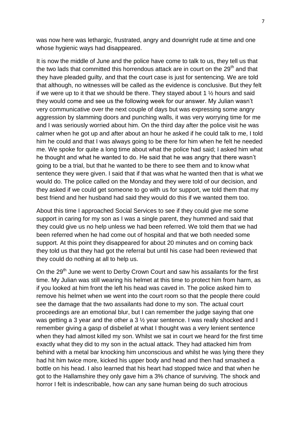was now here was lethargic, frustrated, angry and downright rude at time and one whose hygienic ways had disappeared.

It is now the middle of June and the police have come to talk to us, they tell us that the two lads that committed this horrendous attack are in court on the  $29<sup>th</sup>$  and that they have pleaded guilty, and that the court case is just for sentencing. We are told that although, no witnesses will be called as the evidence is conclusive. But they felt if we were up to it that we should be there. They stayed about 1 ½ hours and said they would come and see us the following week for our answer. My Julian wasn't very communicative over the next couple of days but was expressing some angry aggression by slamming doors and punching walls, it was very worrying time for me and I was seriously worried about him. On the third day after the police visit he was calmer when he got up and after about an hour he asked if he could talk to me, I told him he could and that I was always going to be there for him when he felt he needed me. We spoke for quite a long time about what the police had said; I asked him what he thought and what he wanted to do. He said that he was angry that there wasn't going to be a trial, but that he wanted to be there to see them and to know what sentence they were given. I said that if that was what he wanted then that is what we would do. The police called on the Monday and they were told of our decision, and they asked if we could get someone to go with us for support, we told them that my best friend and her husband had said they would do this if we wanted them too.

About this time I approached Social Services to see if they could give me some support in caring for my son as I was a single parent, they hummed and said that they could give us no help unless we had been referred. We told them that we had been referred when he had come out of hospital and that we both needed some support. At this point they disappeared for about 20 minutes and on coming back they told us that they had got the referral but until his case had been reviewed that they could do nothing at all to help us.

On the 29<sup>th</sup> June we went to Derby Crown Court and saw his assailants for the first time. My Julian was still wearing his helmet at this time to protect him from harm, as if you looked at him front the left his head was caved in. The police asked him to remove his helmet when we went into the court room so that the people there could see the damage that the two assailants had done to my son. The actual court proceedings are an emotional blur, but I can remember the judge saying that one was getting a 3 year and the other a 3  $\frac{1}{2}$  year sentence. I was really shocked and I remember giving a gasp of disbelief at what I thought was a very lenient sentence when they had almost killed my son. Whilst we sat in court we heard for the first time exactly what they did to my son in the actual attack. They had attacked him from behind with a metal bar knocking him unconscious and whilst he was lying there they had hit him twice more, kicked his upper body and head and then had smashed a bottle on his head. I also learned that his heart had stopped twice and that when he got to the Hallamshire they only gave him a 3% chance of surviving. The shock and horror I felt is indescribable, how can any sane human being do such atrocious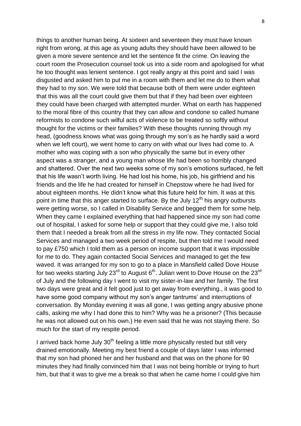things to another human being. At sixteen and seventeen they must have known right from wrong, at this age as young adults they should have been allowed to be given a more severe sentence and let the sentence fit the crime. On leaving the court room the Prosecution counsel took us into a side room and apologised for what he too thought was lenient sentence. I got really angry at this point and said I was disgusted and asked him to put me in a room with them and let me do to them what they had to my son. We were told that because both of them were under eighteen that this was all the court could give them but that if they had been over eighteen they could have been charged with attempted murder. What on earth has happened to the moral fibre of this country that they can allow and condone so called humane reformists to condone such wilful acts of violence to be treated so softly without thought for the victims or their families? With these thoughts running through my head, (goodness knows what was going through my son's as he hardly said a word when we left court), we went home to carry on with what our lives had come to. A mother who was coping with a son who physically the same but in every other aspect was a stranger, and a young man whose life had been so horribly changed and shattered. Over the next two weeks some of my son's emotions surfaced, he felt that his life wasn't worth living. He had lost his home, his job, his girlfriend and his friends and the life he had created for himself in Chepstow where he had lived for about eighteen months. He didn't know what this future held for him. It was at this point in time that this anger started to surface. By the July  $12<sup>th</sup>$  his angry outbursts were getting worse, so I called in Disability Service and begged them for some help. When they came I explained everything that had happened since my son had come out of hospital, I asked for some help or support that they could give me, I also told them that I needed a break from all the stress in my life now. They contacted Social Services and managed a two week period of respite, but then told me I would need to pay £750 which I told them as a person on income support that it was impossible for me to do. They again contacted Social Services and managed to get the few waved. It was arranged for my son to go to a place in Mansfield called Dove House for two weeks starting July 23 $^{rd}$  to August 6<sup>th</sup>. Julian went to Dove House on the 23 $^{rd}$ of July and the following day I went to visit my sister-in-law and her family. The first two days were great and it felt good just to get away from everything., it was good to have some good company without my son's anger tantrums' and interruptions of conversation. By Monday evening it was all gone, I was getting angry abusive phone calls, asking me why I had done this to him? Why was he a prisoner? (This because he was not allowed out on his own.) He even said that he was not staying there. So much for the start of my respite period.

I arrived back home July  $30<sup>th</sup>$  feeling a little more physically rested but still very drained emotionally. Meeting my best friend a couple of days later I was informed that my son had phoned her and her husband and that was on the phone for 90 minutes they had finally convinced him that I was not being horrible or trying to hurt him, but that it was to give me a break so that when he came home I could give him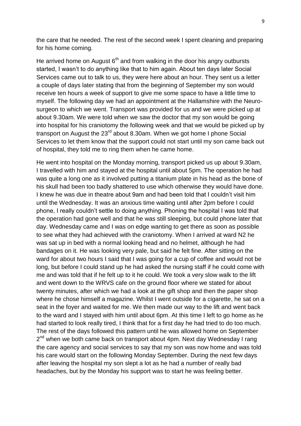the care that he needed. The rest of the second week I spent cleaning and preparing for his home coming.

He arrived home on August  $6<sup>th</sup>$  and from walking in the door his angry outbursts started, I wasn't to do anything like that to him again. About ten days later Social Services came out to talk to us, they were here about an hour. They sent us a letter a couple of days later stating that from the beginning of September my son would receive ten hours a week of support to give me some space to have a little time to myself. The following day we had an appointment at the Hallamshire with the Neurosurgeon to which we went. Transport was provided for us and we were picked up at about 9.30am. We were told when we saw the doctor that my son would be going into hospital for his craniotomy the following week and that we would be picked up by transport on August the  $23<sup>rd</sup>$  about 8.30am. When we got home I phone Social Services to let them know that the support could not start until my son came back out of hospital, they told me to ring them when he came home.

He went into hospital on the Monday morning, transport picked us up about 9.30am, I travelled with him and stayed at the hospital until about 5pm. The operation he had was quite a long one as it involved putting a titanium plate in his head as the bone of his skull had been too badly shattered to use which otherwise they would have done. I knew he was due in theatre about 9am and had been told that I couldn't visit him until the Wednesday. It was an anxious time waiting until after 2pm before I could phone, I really couldn't settle to doing anything. Phoning the hospital I was told that the operation had gone well and that he was still sleeping, but could phone later that day. Wednesday came and I was on edge wanting to get there as soon as possible to see what they had achieved with the craniotomy. When I arrived at ward N2 he was sat up in bed with a normal looking head and no helmet, although he had bandages on it. He was looking very pale, but said he felt fine. After sitting on the ward for about two hours I said that I was going for a cup of coffee and would not be long, but before I could stand up he had asked the nursing staff if he could come with me and was told that if he felt up to it he could. We took a very slow walk to the lift and went down to the WRVS cafe on the ground floor where we stated for about twenty minutes, after which we had a look at the gift shop and then the paper shop where he chose himself a magazine. Whilst I went outside for a cigarette, he sat on a seat in the foyer and waited for me. We then made our way to the lift and went back to the ward and I stayed with him until about 6pm. At this time I left to go home as he had started to look really tired, I think that for a first day he had tried to do too much. The rest of the days followed this pattern until he was allowed home on September 2<sup>nd</sup> when we both came back on transport about 4pm. Next day Wednesday I rang the care agency and social services to say that my son was now home and was told his care would start on the following Monday September. During the next few days after leaving the hospital my son slept a lot as he had a number of really bad headaches, but by the Monday his support was to start he was feeling better.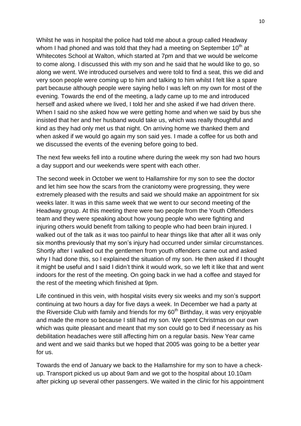Whilst he was in hospital the police had told me about a group called Headway whom I had phoned and was told that they had a meeting on September  $10<sup>th</sup>$  at Whitecotes School at Walton, which started at 7pm and that we would be welcome to come along. I discussed this with my son and he said that he would like to go, so along we went. We introduced ourselves and were told to find a seat, this we did and very soon people were coming up to him and talking to him whilst I felt like a spare part because although people were saying hello I was left on my own for most of the evening. Towards the end of the meeting, a lady came up to me and introduced herself and asked where we lived, I told her and she asked if we had driven there. When I said no she asked how we were getting home and when we said by bus she insisted that her and her husband would take us, which was really thoughtful and kind as they had only met us that night. On arriving home we thanked them and when asked if we would go again my son said yes. I made a coffee for us both and we discussed the events of the evening before going to bed.

The next few weeks fell into a routine where during the week my son had two hours a day support and our weekends were spent with each other.

The second week in October we went to Hallamshire for my son to see the doctor and let him see how the scars from the craniotomy were progressing, they were extremely pleased with the results and said we should make an appointment for six weeks later. It was in this same week that we went to our second meeting of the Headway group. At this meeting there were two people from the Youth Offenders team and they were speaking about how young people who were fighting and injuring others would benefit from talking to people who had been brain injured. I walked out of the talk as it was too painful to hear things like that after all it was only six months previously that my son's injury had occurred under similar circumstances. Shortly after I walked out the gentlemen from youth offenders came out and asked why I had done this, so I explained the situation of my son. He then asked if I thought it might be useful and I said I didn't think it would work, so we left it like that and went indoors for the rest of the meeting. On going back in we had a coffee and stayed for the rest of the meeting which finished at 9pm.

Life continued in this vein, with hospital visits every six weeks and my son's support continuing at two hours a day for five days a week. In December we had a party at the Riverside Club with family and friends for my  $60<sup>th</sup>$  Birthday, it was very enjoyable and made the more so because I still had my son. We spent Christmas on our own which was quite pleasant and meant that my son could go to bed if necessary as his debilitation headaches were still affecting him on a regular basis. New Year came and went and we said thanks but we hoped that 2005 was going to be a better year for us.

Towards the end of January we back to the Hallamshire for my son to have a checkup. Transport picked us up about 9am and we got to the hospital about 10.10am after picking up several other passengers. We waited in the clinic for his appointment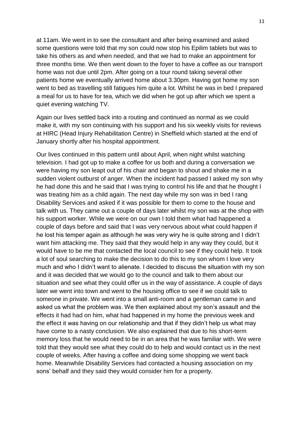at 11am. We went in to see the consultant and after being examined and asked some questions were told that my son could now stop his Epilim tablets but was to take his others as and when needed, and that we had to make an appointment for three months time. We then went down to the foyer to have a coffee as our transport home was not due until 2pm. After going on a tour round taking several other patients home we eventually arrived home about 3.30pm. Having got home my son went to bed as travelling still fatigues him quite a lot. Whilst he was in bed I prepared a meal for us to have for tea, which we did when he got up after which we spent a quiet evening watching TV.

Again our lives settled back into a routing and continued as normal as we could make it, with my son continuing with his support and his six weekly visits for reviews at HIRC (Head Injury Rehabilitation Centre) in Sheffield which started at the end of January shortly after his hospital appointment.

Our lives continued in this pattern until about April, when night whilst watching television. I had got up to make a coffee for us both and during a conversation we were having my son leapt out of his chair and began to shout and shake me in a sudden violent outburst of anger. When the incident had passed I asked my son why he had done this and he said that I was trying to control his life and that he thought I was treating him as a child again. The next day while my son was in bed I rang Disability Services and asked if it was possible for them to come to the house and talk with us. They came out a couple of days later whilst my son was at the shop with his support worker. While we were on our own I told them what had happened a couple of days before and said that I was very nervous about what could happen if he lost his temper again as although he was very wiry he is quite strong and I didn't want him attacking me. They said that they would help in any way they could, but it would have to be me that contacted the local council to see if they could help. It took a lot of soul searching to make the decision to do this to my son whom I love very much and who I didn't want to alienate. I decided to discuss the situation with my son and it was decided that we would go to the council and talk to them about our situation and see what they could offer us in the way of assistance. A couple of days later we went into town and went to the housing office to see if we could talk to someone in private. We went into a small anti-room and a gentleman came in and asked us what the problem was. We then explained about my son's assault and the effects it had had on him, what had happened in my home the previous week and the effect it was having on our relationship and that if they didn't help us what may have come to a nasty conclusion. We also explained that due to his short-term memory loss that he would need to be in an area that he was familiar with. We were told that they would see what they could do to help and would contact us in the next couple of weeks. After having a coffee and doing some shopping we went back home. Meanwhile Disability Services had contacted a housing association on my sons' behalf and they said they would consider him for a property.